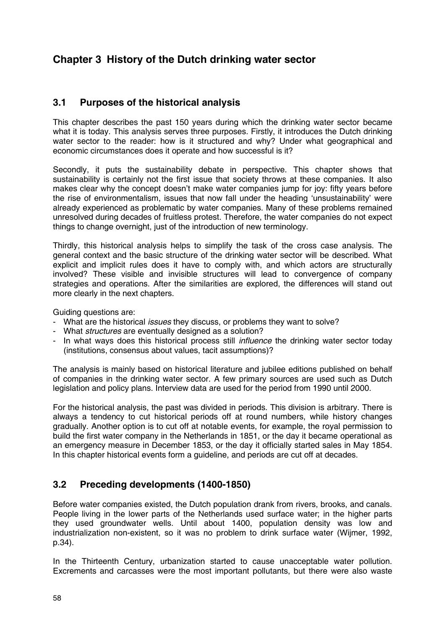# **Chapter 3 History of the Dutch drinking water sector**

#### **3.1 Purposes of the historical analysis**

This chapter describes the past 150 years during which the drinking water sector became what it is today. This analysis serves three purposes. Firstly, it introduces the Dutch drinking water sector to the reader: how is it structured and why? Under what geographical and economic circumstances does it operate and how successful is it?

Secondly, it puts the sustainability debate in perspective. This chapter shows that sustainability is certainly not the first issue that society throws at these companies. It also makes clear why the concept doesn't make water companies jump for joy: fifty years before the rise of environmentalism, issues that now fall under the heading 'unsustainability' were already experienced as problematic by water companies. Many of these problems remained unresolved during decades of fruitless protest. Therefore, the water companies do not expect things to change overnight, just of the introduction of new terminology.

Thirdly, this historical analysis helps to simplify the task of the cross case analysis. The general context and the basic structure of the drinking water sector will be described. What explicit and implicit rules does it have to comply with, and which actors are structurally involved? These visible and invisible structures will lead to convergence of company strategies and operations. After the similarities are explored, the differences will stand out more clearly in the next chapters.

Guiding questions are:

- What are the historical *issues* they discuss, or problems they want to solve?
- What *structures* are eventually designed as a solution?
- In what ways does this historical process still *influence* the drinking water sector today (institutions, consensus about values, tacit assumptions)?

The analysis is mainly based on historical literature and jubilee editions published on behalf of companies in the drinking water sector. A few primary sources are used such as Dutch legislation and policy plans. Interview data are used for the period from 1990 until 2000.

For the historical analysis, the past was divided in periods. This division is arbitrary. There is always a tendency to cut historical periods off at round numbers, while history changes gradually. Another option is to cut off at notable events, for example, the royal permission to build the first water company in the Netherlands in 1851, or the day it became operational as an emergency measure in December 1853, or the day it officially started sales in May 1854. In this chapter historical events form a guideline, and periods are cut off at decades.

### **3.2 Preceding developments (1400-1850)**

Before water companies existed, the Dutch population drank from rivers, brooks, and canals. People living in the lower parts of the Netherlands used surface water; in the higher parts they used groundwater wells. Until about 1400, population density was low and industrialization non-existent, so it was no problem to drink surface water (Wijmer, 1992, p.34).

In the Thirteenth Century, urbanization started to cause unacceptable water pollution. Excrements and carcasses were the most important pollutants, but there were also waste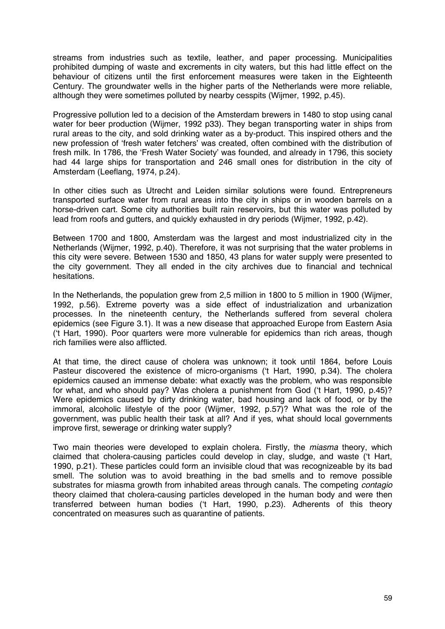streams from industries such as textile, leather, and paper processing. Municipalities prohibited dumping of waste and excrements in city waters, but this had little effect on the behaviour of citizens until the first enforcement measures were taken in the Eighteenth Century. The groundwater wells in the higher parts of the Netherlands were more reliable, although they were sometimes polluted by nearby cesspits (Wijmer, 1992, p.45).

Progressive pollution led to a decision of the Amsterdam brewers in 1480 to stop using canal water for beer production (Wijmer, 1992 p33). They began transporting water in ships from rural areas to the city, and sold drinking water as a by-product. This inspired others and the new profession of 'fresh water fetchers' was created, often combined with the distribution of fresh milk. In 1786, the 'Fresh Water Society' was founded, and already in 1796, this society had 44 large ships for transportation and 246 small ones for distribution in the city of Amsterdam (Leeflang, 1974, p.24).

In other cities such as Utrecht and Leiden similar solutions were found. Entrepreneurs transported surface water from rural areas into the city in ships or in wooden barrels on a horse-driven cart. Some city authorities built rain reservoirs, but this water was polluted by lead from roofs and gutters, and quickly exhausted in dry periods (Wijmer, 1992, p.42).

Between 1700 and 1800, Amsterdam was the largest and most industrialized city in the Netherlands (Wijmer, 1992, p.40). Therefore, it was not surprising that the water problems in this city were severe. Between 1530 and 1850, 43 plans for water supply were presented to the city government. They all ended in the city archives due to financial and technical hesitations.

In the Netherlands, the population grew from 2,5 million in 1800 to 5 million in 1900 (Wijmer, 1992, p.56). Extreme poverty was a side effect of industrialization and urbanization processes. In the nineteenth century, the Netherlands suffered from several cholera epidemics (see Figure 3.1). It was a new disease that approached Europe from Eastern Asia ('t Hart, 1990). Poor quarters were more vulnerable for epidemics than rich areas, though rich families were also afflicted.

At that time, the direct cause of cholera was unknown; it took until 1864, before Louis Pasteur discovered the existence of micro-organisms ('t Hart, 1990, p.34). The cholera epidemics caused an immense debate: what exactly was the problem, who was responsible for what, and who should pay? Was cholera a punishment from God ('t Hart, 1990, p.45)? Were epidemics caused by dirty drinking water, bad housing and lack of food, or by the immoral, alcoholic lifestyle of the poor (Wijmer, 1992, p.57)? What was the role of the government, was public health their task at all? And if yes, what should local governments improve first, sewerage or drinking water supply?

Two main theories were developed to explain cholera. Firstly, the *miasma* theory, which claimed that cholera-causing particles could develop in clay, sludge, and waste ('t Hart, 1990, p.21). These particles could form an invisible cloud that was recognizeable by its bad smell. The solution was to avoid breathing in the bad smells and to remove possible substrates for miasma growth from inhabited areas through canals. The competing *contagio* theory claimed that cholera-causing particles developed in the human body and were then transferred between human bodies ('t Hart, 1990, p.23). Adherents of this theory concentrated on measures such as quarantine of patients.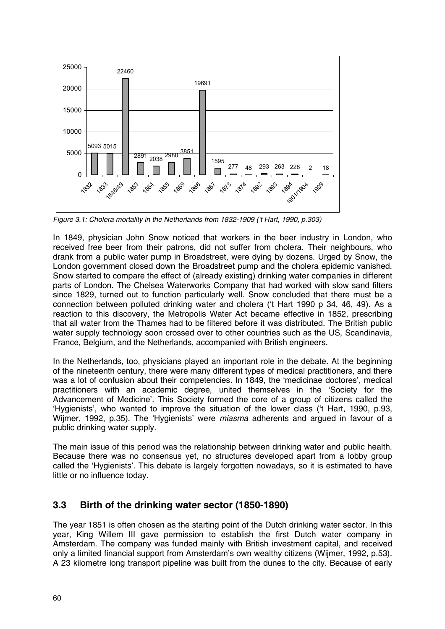

*Figure 3.1: Cholera mortality in the Netherlands from 1832-1909 ('t Hart, 1990, p.303)*

In 1849, physician John Snow noticed that workers in the beer industry in London, who received free beer from their patrons, did not suffer from cholera. Their neighbours, who drank from a public water pump in Broadstreet, were dying by dozens. Urged by Snow, the London government closed down the Broadstreet pump and the cholera epidemic vanished. Snow started to compare the effect of (already existing) drinking water companies in different parts of London. The Chelsea Waterworks Company that had worked with slow sand filters since 1829, turned out to function particularly well. Snow concluded that there must be a connection between polluted drinking water and cholera ('t Hart 1990 p 34, 46, 49). As a reaction to this discovery, the Metropolis Water Act became effective in 1852, prescribing that all water from the Thames had to be filtered before it was distributed. The British public water supply technology soon crossed over to other countries such as the US, Scandinavia, France, Belgium, and the Netherlands, accompanied with British engineers.

In the Netherlands, too, physicians played an important role in the debate. At the beginning of the nineteenth century, there were many different types of medical practitioners, and there was a lot of confusion about their competencies. In 1849, the 'medicinae doctores', medical practitioners with an academic degree, united themselves in the 'Society for the Advancement of Medicine'. This Society formed the core of a group of citizens called the 'Hygienists', who wanted to improve the situation of the lower class ('t Hart, 1990, p.93, Wijmer, 1992, p.35). The 'Hygienists' were *miasma* adherents and argued in favour of a public drinking water supply.

The main issue of this period was the relationship between drinking water and public health. Because there was no consensus yet, no structures developed apart from a lobby group called the 'Hygienists'. This debate is largely forgotten nowadays, so it is estimated to have little or no influence today.

### **3.3 Birth of the drinking water sector (1850-1890)**

The year 1851 is often chosen as the starting point of the Dutch drinking water sector. In this year, King Willem III gave permission to establish the first Dutch water company in Amsterdam. The company was funded mainly with British investment capital, and received only a limited financial support from Amsterdam's own wealthy citizens (Wijmer, 1992, p.53). A 23 kilometre long transport pipeline was built from the dunes to the city. Because of early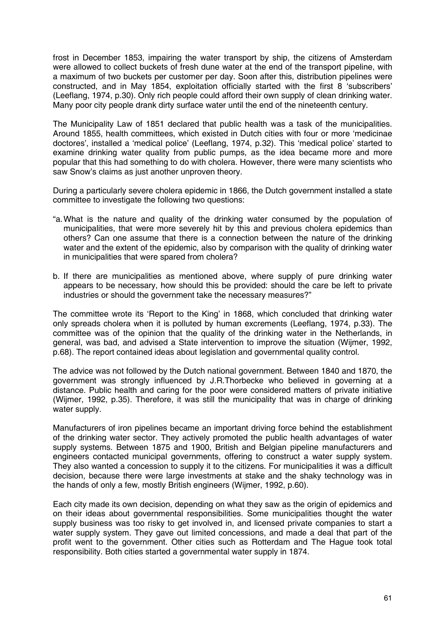frost in December 1853, impairing the water transport by ship, the citizens of Amsterdam were allowed to collect buckets of fresh dune water at the end of the transport pipeline, with a maximum of two buckets per customer per day. Soon after this, distribution pipelines were constructed, and in May 1854, exploitation officially started with the first 8 'subscribers' (Leeflang, 1974, p.30). Only rich people could afford their own supply of clean drinking water. Many poor city people drank dirty surface water until the end of the nineteenth century.

The Municipality Law of 1851 declared that public health was a task of the municipalities. Around 1855, health committees, which existed in Dutch cities with four or more 'medicinae doctores', installed a 'medical police' (Leeflang, 1974, p.32). This 'medical police' started to examine drinking water quality from public pumps, as the idea became more and more popular that this had something to do with cholera. However, there were many scientists who saw Snow's claims as just another unproven theory.

During a particularly severe cholera epidemic in 1866, the Dutch government installed a state committee to investigate the following two questions:

- "a.What is the nature and quality of the drinking water consumed by the population of municipalities, that were more severely hit by this and previous cholera epidemics than others? Can one assume that there is a connection between the nature of the drinking water and the extent of the epidemic, also by comparison with the quality of drinking water in municipalities that were spared from cholera?
- b. If there are municipalities as mentioned above, where supply of pure drinking water appears to be necessary, how should this be provided: should the care be left to private industries or should the government take the necessary measures?"

The committee wrote its 'Report to the King' in 1868, which concluded that drinking water only spreads cholera when it is polluted by human excrements (Leeflang, 1974, p.33). The committee was of the opinion that the quality of the drinking water in the Netherlands, in general, was bad, and advised a State intervention to improve the situation (Wijmer, 1992, p.68). The report contained ideas about legislation and governmental quality control.

The advice was not followed by the Dutch national government. Between 1840 and 1870, the government was strongly influenced by J.R.Thorbecke who believed in governing at a distance. Public health and caring for the poor were considered matters of private initiative (Wijmer, 1992, p.35). Therefore, it was still the municipality that was in charge of drinking water supply.

Manufacturers of iron pipelines became an important driving force behind the establishment of the drinking water sector. They actively promoted the public health advantages of water supply systems. Between 1875 and 1900, British and Belgian pipeline manufacturers and engineers contacted municipal governments, offering to construct a water supply system. They also wanted a concession to supply it to the citizens. For municipalities it was a difficult decision, because there were large investments at stake and the shaky technology was in the hands of only a few, mostly British engineers (Wijmer, 1992, p.60).

Each city made its own decision, depending on what they saw as the origin of epidemics and on their ideas about governmental responsibilities. Some municipalities thought the water supply business was too risky to get involved in, and licensed private companies to start a water supply system. They gave out limited concessions, and made a deal that part of the profit went to the government. Other cities such as Rotterdam and The Hague took total responsibility. Both cities started a governmental water supply in 1874.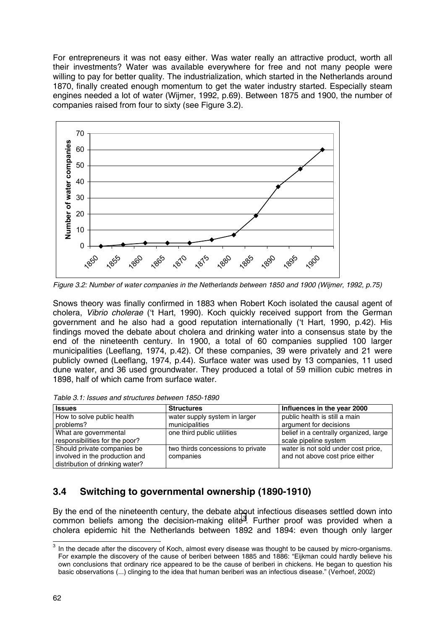For entrepreneurs it was not easy either. Was water really an attractive product, worth all their investments? Water was available everywhere for free and not many people were willing to pay for better quality. The industrialization, which started in the Netherlands around 1870, finally created enough momentum to get the water industry started. Especially steam engines needed a lot of water (Wijmer, 1992, p.69). Between 1875 and 1900, the number of companies raised from four to sixty (see Figure 3.2).



*Figure 3.2: Number of water companies in the Netherlands between 1850 and 1900 (Wijmer, 1992, p.75)*

Snows theory was finally confirmed in 1883 when Robert Koch isolated the causal agent of cholera, *Vibrio cholerae* ('t Hart, 1990). Koch quickly received support from the German government and he also had a good reputation internationally ('t Hart, 1990, p.42). His findings moved the debate about cholera and drinking water into a consensus state by the end of the nineteenth century. In 1900, a total of 60 companies supplied 100 larger municipalities (Leeflang, 1974, p.42). Of these companies, 39 were privately and 21 were publicly owned (Leeflang, 1974, p.44). Surface water was used by 13 companies, 11 used dune water, and 36 used groundwater. They produced a total of 59 million cubic metres in 1898, half of which came from surface water.

| <b>Issues</b>                   | <b>Structures</b>                 | Influences in the year 2000            |
|---------------------------------|-----------------------------------|----------------------------------------|
| How to solve public health      | water supply system in larger     | public health is still a main          |
| problems?                       | municipalities                    | argument for decisions                 |
| What are governmental           | one third public utilities        | belief in a centrally organized, large |
| responsibilities for the poor?  |                                   | scale pipeline system                  |
| Should private companies be     | two thirds concessions to private | water is not sold under cost price,    |
| involved in the production and  | companies                         | and not above cost price either        |
| distribution of drinking water? |                                   |                                        |

## **3.4 Switching to governmental ownership (1890-1910)**

By the end of the nineteenth century, the debate about infectious diseases settled down into common beliefs among the decision-making elite<sup>3</sup>. Further proof was provided when a cholera epidemic hit the Netherlands between 1892 and 1894: even though only larger

 3 In the decade after the discovery of Koch, almost every disease was thought to be caused by micro-organisms. For example the discovery of the cause of beriberi between 1885 and 1886: "Eijkman could hardly believe his own conclusions that ordinary rice appeared to be the cause of beriberi in chickens. He began to question his basic observations (...) clinging to the idea that human beriberi was an infectious disease." (Verhoef, 2002)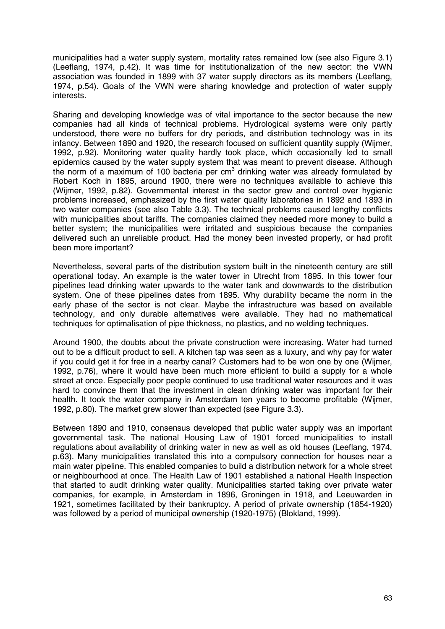municipalities had a water supply system, mortality rates remained low (see also Figure 3.1) (Leeflang, 1974, p.42). It was time for institutionalization of the new sector: the VWN association was founded in 1899 with 37 water supply directors as its members (Leeflang, 1974, p.54). Goals of the VWN were sharing knowledge and protection of water supply interests.

Sharing and developing knowledge was of vital importance to the sector because the new companies had all kinds of technical problems. Hydrological systems were only partly understood, there were no buffers for dry periods, and distribution technology was in its infancy. Between 1890 and 1920, the research focused on sufficient quantity supply (Wijmer, 1992, p.92). Monitoring water quality hardly took place, which occasionally led to small epidemics caused by the water supply system that was meant to prevent disease. Although the norm of a maximum of 100 bacteria per cm<sup>3</sup> drinking water was already formulated by Robert Koch in 1895, around 1900, there were no techniques available to achieve this (Wijmer, 1992, p.82). Governmental interest in the sector grew and control over hygienic problems increased, emphasized by the first water quality laboratories in 1892 and 1893 in two water companies (see also Table 3.3). The technical problems caused lengthy conflicts with municipalities about tariffs. The companies claimed they needed more money to build a better system; the municipalities were irritated and suspicious because the companies delivered such an unreliable product. Had the money been invested properly, or had profit been more important?

Nevertheless, several parts of the distribution system built in the nineteenth century are still operational today. An example is the water tower in Utrecht from 1895. In this tower four pipelines lead drinking water upwards to the water tank and downwards to the distribution system. One of these pipelines dates from 1895. Why durability became the norm in the early phase of the sector is not clear. Maybe the infrastructure was based on available technology, and only durable alternatives were available. They had no mathematical techniques for optimalisation of pipe thickness, no plastics, and no welding techniques.

Around 1900, the doubts about the private construction were increasing. Water had turned out to be a difficult product to sell. A kitchen tap was seen as a luxury, and why pay for water if you could get it for free in a nearby canal? Customers had to be won one by one (Wijmer, 1992, p.76), where it would have been much more efficient to build a supply for a whole street at once. Especially poor people continued to use traditional water resources and it was hard to convince them that the investment in clean drinking water was important for their health. It took the water company in Amsterdam ten years to become profitable (Wijmer, 1992, p.80). The market grew slower than expected (see Figure 3.3).

Between 1890 and 1910, consensus developed that public water supply was an important governmental task. The national Housing Law of 1901 forced municipalities to install regulations about availability of drinking water in new as well as old houses (Leeflang, 1974, p.63). Many municipalities translated this into a compulsory connection for houses near a main water pipeline. This enabled companies to build a distribution network for a whole street or neighbourhood at once. The Health Law of 1901 established a national Health Inspection that started to audit drinking water quality. Municipalities started taking over private water companies, for example, in Amsterdam in 1896, Groningen in 1918, and Leeuwarden in 1921, sometimes facilitated by their bankruptcy. A period of private ownership (1854-1920) was followed by a period of municipal ownership (1920-1975) (Blokland, 1999).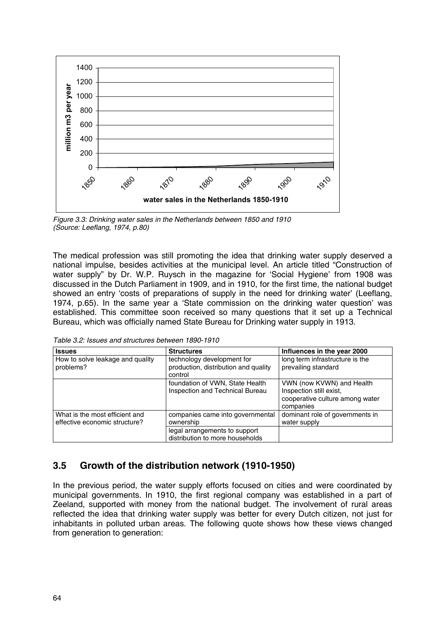

*Figure 3.3: Drinking water sales in the Netherlands between 1850 and 1910 (Source: Leeflang, 1974, p.80)*

The medical profession was still promoting the idea that drinking water supply deserved a national impulse, besides activities at the municipal level. An article titled "Construction of water supply" by Dr. W.P. Ruysch in the magazine for 'Social Hygiene' from 1908 was discussed in the Dutch Parliament in 1909, and in 1910, for the first time, the national budget showed an entry 'costs of preparations of supply in the need for drinking water' (Leeflang, 1974, p.65). In the same year a 'State commission on the drinking water question' was established. This committee soon received so many questions that it set up a Technical Bureau, which was officially named State Bureau for Drinking water supply in 1913.

*Table 3.2: Issues and structures between 1890-1910*

| <b>Issues</b>                                                   | <b>Structures</b>                                                             | Influences in the year 2000                                                                          |
|-----------------------------------------------------------------|-------------------------------------------------------------------------------|------------------------------------------------------------------------------------------------------|
| How to solve leakage and quality<br>problems?                   | technology development for<br>production, distribution and quality<br>control | long term infrastructure is the<br>prevailing standard                                               |
|                                                                 | foundation of VWN, State Health<br>Inspection and Technical Bureau            | VWN (now KVWN) and Health<br>Inspection still exist.<br>cooperative culture among water<br>companies |
| What is the most efficient and<br>effective economic structure? | companies came into governmental<br>ownership                                 | dominant role of governments in<br>water supply                                                      |
|                                                                 | legal arrangements to support<br>distribution to more households              |                                                                                                      |

### **3.5 Growth of the distribution network (1910-1950)**

In the previous period, the water supply efforts focused on cities and were coordinated by municipal governments. In 1910, the first regional company was established in a part of Zeeland, supported with money from the national budget. The involvement of rural areas reflected the idea that drinking water supply was better for every Dutch citizen, not just for inhabitants in polluted urban areas. The following quote shows how these views changed from generation to generation: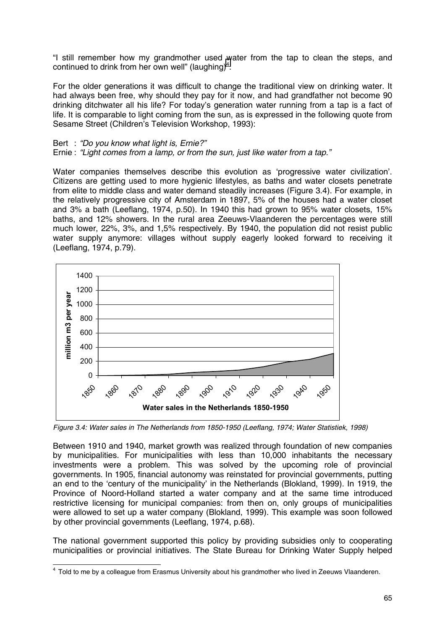"I still remember how my grandmother used water from the tap to clean the steps, and continued to drink from her own well" (laughing)<sup>4</sup>.

For the older generations it was difficult to change the traditional view on drinking water. It had always been free, why should they pay for it now, and had grandfather not become 90 drinking ditchwater all his life? For today's generation water running from a tap is a fact of life. It is comparable to light coming from the sun, as is expressed in the following quote from Sesame Street (Children's Television Workshop, 1993):

#### Bert : *"Do you know what light is, Ernie?"*

Ernie : *"Light comes from a lamp, or from the sun, just like water from a tap."*

Water companies themselves describe this evolution as 'progressive water civilization'. Citizens are getting used to more hygienic lifestyles, as baths and water closets penetrate from elite to middle class and water demand steadily increases (Figure 3.4). For example, in the relatively progressive city of Amsterdam in 1897, 5% of the houses had a water closet and 3% a bath (Leeflang, 1974, p.50). In 1940 this had grown to 95% water closets, 15% baths, and 12% showers. In the rural area Zeeuws-Vlaanderen the percentages were still much lower, 22%, 3%, and 1,5% respectively. By 1940, the population did not resist public water supply anymore: villages without supply eagerly looked forward to receiving it (Leeflang, 1974, p.79).



*Figure 3.4: Water sales in The Netherlands from 1850-1950 (Leeflang, 1974; Water Statistiek, 1998)*

Between 1910 and 1940, market growth was realized through foundation of new companies by municipalities. For municipalities with less than 10,000 inhabitants the necessary investments were a problem. This was solved by the upcoming role of provincial governments. In 1905, financial autonomy was reinstated for provincial governments, putting an end to the 'century of the municipality' in the Netherlands (Blokland, 1999). In 1919, the Province of Noord-Holland started a water company and at the same time introduced restrictive licensing for municipal companies: from then on, only groups of municipalities were allowed to set up a water company (Blokland, 1999). This example was soon followed by other provincial governments (Leeflang, 1974, p.68).

The national government supported this policy by providing subsidies only to cooperating municipalities or provincial initiatives. The State Bureau for Drinking Water Supply helped

 4 Told to me by a colleague from Erasmus University about his grandmother who lived in Zeeuws Vlaanderen.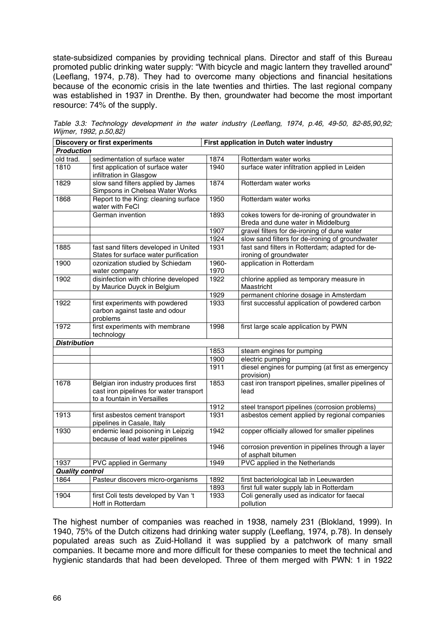state-subsidized companies by providing technical plans. Director and staff of this Bureau promoted public drinking water supply: "With bicycle and magic lantern they travelled around" (Leeflang, 1974, p.78). They had to overcome many objections and financial hesitations because of the economic crisis in the late twenties and thirties. The last regional company was established in 1937 in Drenthe. By then, groundwater had become the most important resource: 74% of the supply.

| <b>Discovery or first experiments</b> |                                                                                                                | First application in Dutch water industry |                                                                                     |  |
|---------------------------------------|----------------------------------------------------------------------------------------------------------------|-------------------------------------------|-------------------------------------------------------------------------------------|--|
| <b>Production</b>                     |                                                                                                                |                                           |                                                                                     |  |
| old trad.                             | sedimentation of surface water                                                                                 | 1874                                      | Rotterdam water works                                                               |  |
| 1810                                  | first application of surface water<br>infiltration in Glasgow                                                  | 1940                                      | surface water infiltration applied in Leiden                                        |  |
| 1829                                  | slow sand filters applied by James<br>Simpsons in Chelsea Water Works                                          | 1874                                      | Rotterdam water works                                                               |  |
| 1868                                  | Report to the King: cleaning surface<br>water with FeCI                                                        | 1950                                      | Rotterdam water works                                                               |  |
|                                       | German invention                                                                                               | 1893                                      | cokes towers for de-ironing of groundwater in<br>Breda and dune water in Middelburg |  |
|                                       |                                                                                                                | 1907                                      | gravel filters for de-ironing of dune water                                         |  |
|                                       |                                                                                                                | 1924                                      | slow sand filters for de-ironing of groundwater                                     |  |
| 1885                                  | fast sand filters developed in United<br>States for surface water purification                                 | 1931                                      | fast sand filters in Rotterdam; adapted for de-<br>ironing of groundwater           |  |
| 1900                                  | ozonization studied by Schiedam<br>water company                                                               | 1960-<br>1970                             | application in Rotterdam                                                            |  |
| 1902                                  | disinfection with chlorine developed<br>by Maurice Duyck in Belgium                                            | 1922                                      | chlorine applied as temporary measure in<br>Maastricht                              |  |
|                                       |                                                                                                                | 1929                                      | permanent chlorine dosage in Amsterdam                                              |  |
| 1922                                  | first experiments with powdered<br>carbon against taste and odour<br>problems                                  | 1933                                      | first successful application of powdered carbon                                     |  |
| 1972                                  | first experiments with membrane<br>technology                                                                  | 1998                                      | first large scale application by PWN                                                |  |
| <b>Distribution</b>                   |                                                                                                                |                                           |                                                                                     |  |
|                                       |                                                                                                                | 1853                                      | steam engines for pumping                                                           |  |
|                                       |                                                                                                                | 1900                                      | electric pumping                                                                    |  |
|                                       |                                                                                                                | 1911                                      | diesel engines for pumping (at first as emergency<br>provision)                     |  |
| 1678                                  | Belgian iron industry produces first<br>cast iron pipelines for water transport<br>to a fountain in Versailles | 1853                                      | cast iron transport pipelines, smaller pipelines of<br>lead                         |  |
|                                       |                                                                                                                | 1912                                      | steel transport pipelines (corrosion problems)                                      |  |
| 1913                                  | first asbestos cement transport<br>pipelines in Casale, Italy                                                  | 1931                                      | asbestos cement applied by regional companies                                       |  |
| 1930                                  | endemic lead poisoning in Leipzig<br>because of lead water pipelines                                           | 1942                                      | copper officially allowed for smaller pipelines                                     |  |
|                                       |                                                                                                                | 1946                                      | corrosion prevention in pipelines through a layer<br>of asphalt bitumen             |  |
| 1937                                  | PVC applied in Germany                                                                                         | 1949                                      | PVC applied in the Netherlands                                                      |  |
| <b>Quality control</b>                |                                                                                                                |                                           |                                                                                     |  |
| 1864                                  | Pasteur discovers micro-organisms                                                                              | 1892                                      | first bacteriological lab in Leeuwarden                                             |  |
|                                       |                                                                                                                | 1893                                      | first full water supply lab in Rotterdam                                            |  |
| 1904                                  | first Coli tests developed by Van 't<br>Hoff in Rotterdam                                                      | 1933                                      | Coli generally used as indicator for faecal<br>pollution                            |  |

*Table 3.3: Technology development in the water industry (Leeflang, 1974, p.46, 49-50, 82-85,90,92; Wijmer, 1992, p.50,82)*

The highest number of companies was reached in 1938, namely 231 (Blokland, 1999). In 1940, 75% of the Dutch citizens had drinking water supply (Leeflang, 1974, p.78). In densely populated areas such as Zuid-Holland it was supplied by a patchwork of many small companies. It became more and more difficult for these companies to meet the technical and hygienic standards that had been developed. Three of them merged with PWN: 1 in 1922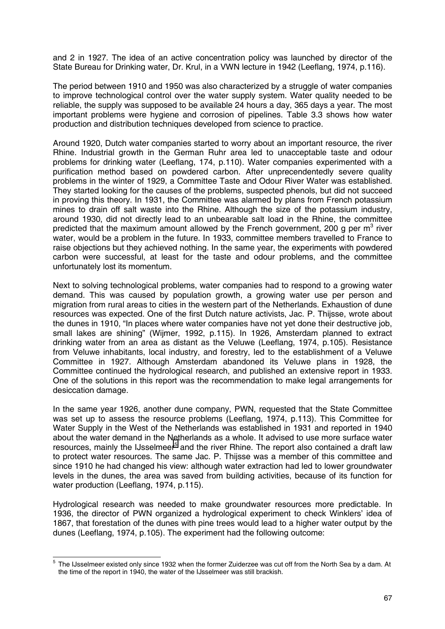and 2 in 1927. The idea of an active concentration policy was launched by director of the State Bureau for Drinking water, Dr. Krul, in a VWN lecture in 1942 (Leeflang, 1974, p.116).

The period between 1910 and 1950 was also characterized by a struggle of water companies to improve technological control over the water supply system. Water quality needed to be reliable, the supply was supposed to be available 24 hours a day, 365 days a year. The most important problems were hygiene and corrosion of pipelines. Table 3.3 shows how water production and distribution techniques developed from science to practice.

Around 1920, Dutch water companies started to worry about an important resource, the river Rhine. Industrial growth in the German Ruhr area led to unacceptable taste and odour problems for drinking water (Leeflang, 174, p.110). Water companies experimented with a purification method based on powdered carbon. After unprecendentedly severe quality problems in the winter of 1929, a Committee Taste and Odour River Water was established. They started looking for the causes of the problems, suspected phenols, but did not succeed in proving this theory. In 1931, the Committee was alarmed by plans from French potassium mines to drain off salt waste into the Rhine. Although the size of the potassium industry, around 1930, did not directly lead to an unbearable salt load in the Rhine, the committee predicted that the maximum amount allowed by the French government, 200 g per  $m^3$  river water, would be a problem in the future. In 1933, committee members travelled to France to raise objections but they achieved nothing. In the same year, the experiments with powdered carbon were successful, at least for the taste and odour problems, and the committee unfortunately lost its momentum.

Next to solving technological problems, water companies had to respond to a growing water demand. This was caused by population growth, a growing water use per person and migration from rural areas to cities in the western part of the Netherlands. Exhaustion of dune resources was expected. One of the first Dutch nature activists, Jac. P. Thijsse, wrote about the dunes in 1910, "In places where water companies have not yet done their destructive job, small lakes are shining" (Wijmer, 1992, p.115). In 1926, Amsterdam planned to extract drinking water from an area as distant as the Veluwe (Leeflang, 1974, p.105). Resistance from Veluwe inhabitants, local industry, and forestry, led to the establishment of a Veluwe Committee in 1927. Although Amsterdam abandoned its Veluwe plans in 1928, the Committee continued the hydrological research, and published an extensive report in 1933. One of the solutions in this report was the recommendation to make legal arrangements for desiccation damage.

In the same year 1926, another dune company, PWN, requested that the State Committee was set up to assess the resource problems (Leeflang, 1974, p.113). This Committee for Water Supply in the West of the Netherlands was established in 1931 and reported in 1940 about the water demand in the Netherlands as a whole. It advised to use more surface water resources, mainly the IJsselmeer<sup>5</sup> and the river Rhine. The report also contained a draft law to protect water resources. The same Jac. P. Thijsse was a member of this committee and since 1910 he had changed his view: although water extraction had led to lower groundwater levels in the dunes, the area was saved from building activities, because of its function for water production (Leeflang, 1974, p.115).

Hydrological research was needed to make groundwater resources more predictable. In 1936, the director of PWN organized a hydrological experiment to check Winklers' idea of 1867, that forestation of the dunes with pine trees would lead to a higher water output by the dunes (Leeflang, 1974, p.105). The experiment had the following outcome:

 5 The IJsselmeer existed only since 1932 when the former Zuiderzee was cut off from the North Sea by a dam. At the time of the report in 1940, the water of the IJsselmeer was still brackish.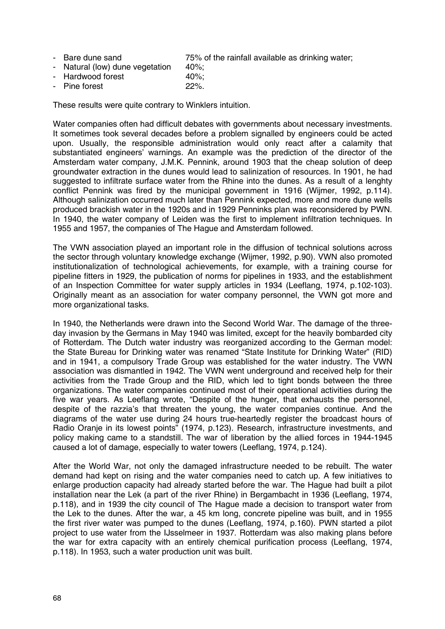|  | - Bare dune sand | 75% of the rainfall available as drinking water; |
|--|------------------|--------------------------------------------------|
|--|------------------|--------------------------------------------------|

- Natural (low) dune vegetation 40%;
- Hardwood forest 40%;
- Pine forest 22%.

These results were quite contrary to Winklers intuition.

Water companies often had difficult debates with governments about necessary investments. It sometimes took several decades before a problem signalled by engineers could be acted upon. Usually, the responsible administration would only react after a calamity that substantiated engineers' warnings. An example was the prediction of the director of the Amsterdam water company, J.M.K. Pennink, around 1903 that the cheap solution of deep groundwater extraction in the dunes would lead to salinization of resources. In 1901, he had suggested to infiltrate surface water from the Rhine into the dunes. As a result of a lenghty conflict Pennink was fired by the municipal government in 1916 (Wijmer, 1992, p.114). Although salinization occurred much later than Pennink expected, more and more dune wells produced brackish water in the 1920s and in 1929 Penninks plan was reconsidered by PWN. In 1940, the water company of Leiden was the first to implement infiltration techniques. In 1955 and 1957, the companies of The Hague and Amsterdam followed.

The VWN association played an important role in the diffusion of technical solutions across the sector through voluntary knowledge exchange (Wijmer, 1992, p.90). VWN also promoted institutionalization of technological achievements, for example, with a training course for pipeline fitters in 1929, the publication of norms for pipelines in 1933, and the establishment of an Inspection Committee for water supply articles in 1934 (Leeflang, 1974, p.102-103). Originally meant as an association for water company personnel, the VWN got more and more organizational tasks.

In 1940, the Netherlands were drawn into the Second World War. The damage of the threeday invasion by the Germans in May 1940 was limited, except for the heavily bombarded city of Rotterdam. The Dutch water industry was reorganized according to the German model: the State Bureau for Drinking water was renamed "State Institute for Drinking Water" (RID) and in 1941, a compulsory Trade Group was established for the water industry. The VWN association was dismantled in 1942. The VWN went underground and received help for their activities from the Trade Group and the RID, which led to tight bonds between the three organizations. The water companies continued most of their operational activities during the five war years. As Leeflang wrote, "Despite of the hunger, that exhausts the personnel, despite of the razzia's that threaten the young, the water companies continue. And the diagrams of the water use during 24 hours true-heartedly register the broadcast hours of Radio Oranje in its lowest points" (1974, p.123). Research, infrastructure investments, and policy making came to a standstill. The war of liberation by the allied forces in 1944-1945 caused a lot of damage, especially to water towers (Leeflang, 1974, p.124).

After the World War, not only the damaged infrastructure needed to be rebuilt. The water demand had kept on rising and the water companies need to catch up. A few initiatives to enlarge production capacity had already started before the war. The Hague had built a pilot installation near the Lek (a part of the river Rhine) in Bergambacht in 1936 (Leeflang, 1974, p.118), and in 1939 the city council of The Hague made a decision to transport water from the Lek to the dunes. After the war, a 45 km long, concrete pipeline was built, and in 1955 the first river water was pumped to the dunes (Leeflang, 1974, p.160). PWN started a pilot project to use water from the IJsselmeer in 1937. Rotterdam was also making plans before the war for extra capacity with an entirely chemical purification process (Leeflang, 1974, p.118). In 1953, such a water production unit was built.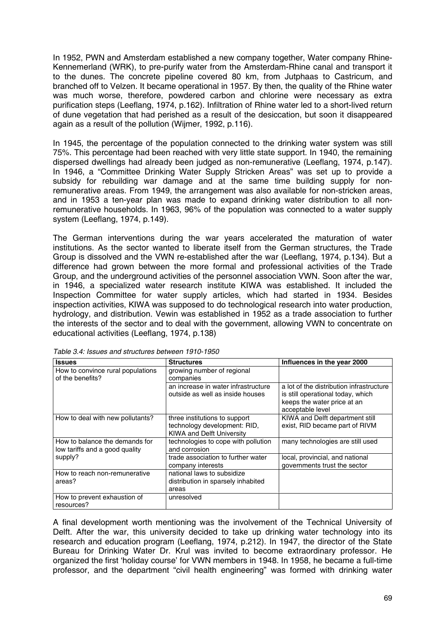In 1952, PWN and Amsterdam established a new company together, Water company Rhine-Kennemerland (WRK), to pre-purify water from the Amsterdam-Rhine canal and transport it to the dunes. The concrete pipeline covered 80 km, from Jutphaas to Castricum, and branched off to Velzen. It became operational in 1957. By then, the quality of the Rhine water was much worse, therefore, powdered carbon and chlorine were necessary as extra purification steps (Leeflang, 1974, p.162). Infiltration of Rhine water led to a short-lived return of dune vegetation that had perished as a result of the desiccation, but soon it disappeared again as a result of the pollution (Wijmer, 1992, p.116).

In 1945, the percentage of the population connected to the drinking water system was still 75%. This percentage had been reached with very little state support. In 1940, the remaining dispersed dwellings had already been judged as non-remunerative (Leeflang, 1974, p.147). In 1946, a "Committee Drinking Water Supply Stricken Areas" was set up to provide a subsidy for rebuilding war damage and at the same time building supply for nonremunerative areas. From 1949, the arrangement was also available for non-stricken areas, and in 1953 a ten-year plan was made to expand drinking water distribution to all nonremunerative households. In 1963, 96% of the population was connected to a water supply system (Leeflang, 1974, p.149).

The German interventions during the war years accelerated the maturation of water institutions. As the sector wanted to liberate itself from the German structures, the Trade Group is dissolved and the VWN re-established after the war (Leeflang, 1974, p.134). But a difference had grown between the more formal and professional activities of the Trade Group, and the underground activities of the personnel association VWN. Soon after the war, in 1946, a specialized water research institute KIWA was established. It included the Inspection Committee for water supply articles, which had started in 1934. Besides inspection activities, KIWA was supposed to do technological research into water production, hydrology, and distribution. Vewin was established in 1952 as a trade association to further the interests of the sector and to deal with the government, allowing VWN to concentrate on educational activities (Leeflang, 1974, p.138)

| <b>Issues</b>                                                    | <b>Structures</b>                                                                                 | Influences in the year 2000                                                                                                      |
|------------------------------------------------------------------|---------------------------------------------------------------------------------------------------|----------------------------------------------------------------------------------------------------------------------------------|
| How to convince rural populations<br>of the benefits?            | growing number of regional<br>companies                                                           |                                                                                                                                  |
|                                                                  | an increase in water infrastructure<br>outside as well as inside houses                           | a lot of the distribution infrastructure<br>is still operational today, which<br>keeps the water price at an<br>acceptable level |
| How to deal with new pollutants?                                 | three institutions to support<br>technology development: RID,<br><b>KIWA and Delft University</b> | KIWA and Delft department still<br>exist, RID became part of RIVM                                                                |
| How to balance the demands for<br>low tariffs and a good quality | technologies to cope with pollution<br>and corrosion                                              | many technologies are still used                                                                                                 |
| supply?                                                          | trade association to further water<br>company interests                                           | local, provincial, and national<br>governments trust the sector                                                                  |
| How to reach non-remunerative<br>areas?                          | national laws to subsidize<br>distribution in sparsely inhabited<br>areas                         |                                                                                                                                  |
| How to prevent exhaustion of<br>resources?                       | unresolved                                                                                        |                                                                                                                                  |

*Table 3.4: Issues and structures between 1910-1950*

A final development worth mentioning was the involvement of the Technical University of Delft. After the war, this university decided to take up drinking water technology into its research and education program (Leeflang, 1974, p.212). In 1947, the director of the State Bureau for Drinking Water Dr. Krul was invited to become extraordinary professor. He organized the first 'holiday course' for VWN members in 1948. In 1958, he became a full-time professor, and the department "civil health engineering" was formed with drinking water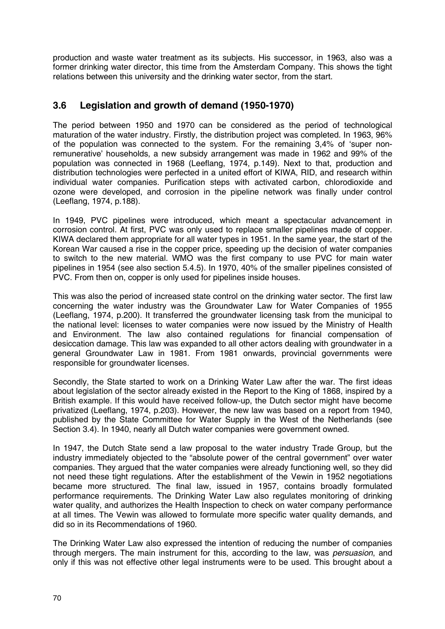production and waste water treatment as its subjects. His successor, in 1963, also was a former drinking water director, this time from the Amsterdam Company. This shows the tight relations between this university and the drinking water sector, from the start.

## **3.6 Legislation and growth of demand (1950-1970)**

The period between 1950 and 1970 can be considered as the period of technological maturation of the water industry. Firstly, the distribution project was completed. In 1963, 96% of the population was connected to the system. For the remaining 3,4% of 'super nonremunerative' households, a new subsidy arrangement was made in 1962 and 99% of the population was connected in 1968 (Leeflang, 1974, p.149). Next to that, production and distribution technologies were perfected in a united effort of KIWA, RID, and research within individual water companies. Purification steps with activated carbon, chlorodioxide and ozone were developed, and corrosion in the pipeline network was finally under control (Leeflang, 1974, p.188).

In 1949, PVC pipelines were introduced, which meant a spectacular advancement in corrosion control. At first, PVC was only used to replace smaller pipelines made of copper. KIWA declared them appropriate for all water types in 1951. In the same year, the start of the Korean War caused a rise in the copper price, speeding up the decision of water companies to switch to the new material. WMO was the first company to use PVC for main water pipelines in 1954 (see also section 5.4.5). In 1970, 40% of the smaller pipelines consisted of PVC. From then on, copper is only used for pipelines inside houses.

This was also the period of increased state control on the drinking water sector. The first law concerning the water industry was the Groundwater Law for Water Companies of 1955 (Leeflang, 1974, p.200). It transferred the groundwater licensing task from the municipal to the national level: licenses to water companies were now issued by the Ministry of Health and Environment. The law also contained regulations for financial compensation of desiccation damage. This law was expanded to all other actors dealing with groundwater in a general Groundwater Law in 1981. From 1981 onwards, provincial governments were responsible for groundwater licenses.

Secondly, the State started to work on a Drinking Water Law after the war. The first ideas about legislation of the sector already existed in the Report to the King of 1868, inspired by a British example. If this would have received follow-up, the Dutch sector might have become privatized (Leeflang, 1974, p.203). However, the new law was based on a report from 1940, published by the State Committee for Water Supply in the West of the Netherlands (see Section 3.4). In 1940, nearly all Dutch water companies were government owned.

In 1947, the Dutch State send a law proposal to the water industry Trade Group, but the industry immediately objected to the "absolute power of the central government" over water companies. They argued that the water companies were already functioning well, so they did not need these tight regulations. After the establishment of the Vewin in 1952 negotiations became more structured. The final law, issued in 1957, contains broadly formulated performance requirements. The Drinking Water Law also regulates monitoring of drinking water quality, and authorizes the Health Inspection to check on water company performance at all times. The Vewin was allowed to formulate more specific water quality demands, and did so in its Recommendations of 1960.

The Drinking Water Law also expressed the intention of reducing the number of companies through mergers. The main instrument for this, according to the law, was *persuasion*, and only if this was not effective other legal instruments were to be used. This brought about a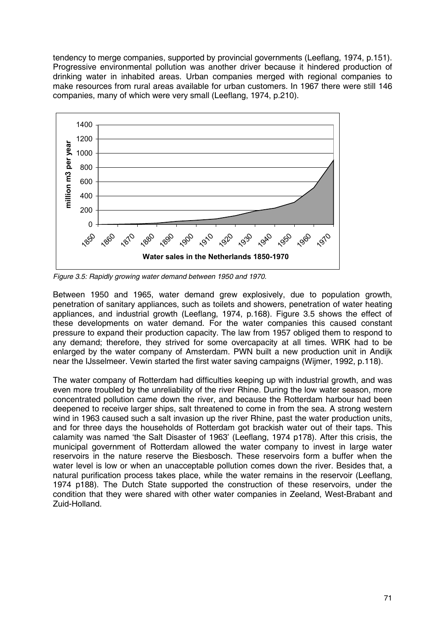tendency to merge companies, supported by provincial governments (Leeflang, 1974, p.151). Progressive environmental pollution was another driver because it hindered production of drinking water in inhabited areas. Urban companies merged with regional companies to make resources from rural areas available for urban customers. In 1967 there were still 146 companies, many of which were very small (Leeflang, 1974, p.210).



*Figure 3.5: Rapidly growing water demand between 1950 and 1970.*

Between 1950 and 1965, water demand grew explosively, due to population growth, penetration of sanitary appliances, such as toilets and showers, penetration of water heating appliances, and industrial growth (Leeflang, 1974, p.168). Figure 3.5 shows the effect of these developments on water demand. For the water companies this caused constant pressure to expand their production capacity. The law from 1957 obliged them to respond to any demand; therefore, they strived for some overcapacity at all times. WRK had to be enlarged by the water company of Amsterdam. PWN built a new production unit in Andijk near the IJsselmeer. Vewin started the first water saving campaigns (Wijmer, 1992, p.118).

The water company of Rotterdam had difficulties keeping up with industrial growth, and was even more troubled by the unreliability of the river Rhine. During the low water season, more concentrated pollution came down the river, and because the Rotterdam harbour had been deepened to receive larger ships, salt threatened to come in from the sea. A strong western wind in 1963 caused such a salt invasion up the river Rhine, past the water production units, and for three days the households of Rotterdam got brackish water out of their taps. This calamity was named 'the Salt Disaster of 1963' (Leeflang, 1974 p178). After this crisis, the municipal government of Rotterdam allowed the water company to invest in large water reservoirs in the nature reserve the Biesbosch. These reservoirs form a buffer when the water level is low or when an unacceptable pollution comes down the river. Besides that, a natural purification process takes place, while the water remains in the reservoir (Leeflang, 1974 p188). The Dutch State supported the construction of these reservoirs, under the condition that they were shared with other water companies in Zeeland, West-Brabant and Zuid-Holland.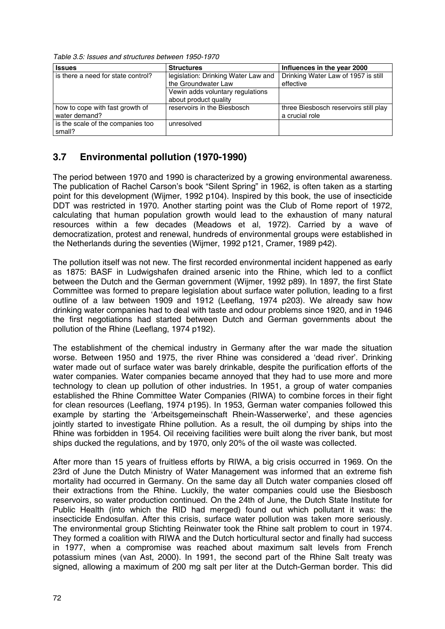*Table 3.5: Issues and structures between 1950-1970*

| <b>Issues</b>                      | <b>Structures</b>                   | Influences in the year 2000           |
|------------------------------------|-------------------------------------|---------------------------------------|
| is there a need for state control? | legislation: Drinking Water Law and | Drinking Water Law of 1957 is still   |
|                                    | the Groundwater Law                 | effective                             |
|                                    | Vewin adds voluntary regulations    |                                       |
|                                    | about product quality               |                                       |
| how to cope with fast growth of    | reservoirs in the Biesbosch         | three Biesbosch reservoirs still play |
| water demand?                      |                                     | a crucial role                        |
| is the scale of the companies too  | unresolved                          |                                       |
| small?                             |                                     |                                       |

## **3.7 Environmental pollution (1970-1990)**

The period between 1970 and 1990 is characterized by a growing environmental awareness. The publication of Rachel Carson's book "Silent Spring" in 1962, is often taken as a starting point for this development (Wijmer, 1992 p104). Inspired by this book, the use of insecticide DDT was restricted in 1970. Another starting point was the Club of Rome report of 1972, calculating that human population growth would lead to the exhaustion of many natural resources within a few decades (Meadows et al, 1972). Carried by a wave of democratization, protest and renewal, hundreds of environmental groups were established in the Netherlands during the seventies (Wijmer, 1992 p121, Cramer, 1989 p42).

The pollution itself was not new. The first recorded environmental incident happened as early as 1875: BASF in Ludwigshafen drained arsenic into the Rhine, which led to a conflict between the Dutch and the German government (Wijmer, 1992 p89). In 1897, the first State Committee was formed to prepare legislation about surface water pollution, leading to a first outline of a law between 1909 and 1912 (Leeflang, 1974 p203). We already saw how drinking water companies had to deal with taste and odour problems since 1920, and in 1946 the first negotiations had started between Dutch and German governments about the pollution of the Rhine (Leeflang, 1974 p192).

The establishment of the chemical industry in Germany after the war made the situation worse. Between 1950 and 1975, the river Rhine was considered a 'dead river'. Drinking water made out of surface water was barely drinkable, despite the purification efforts of the water companies. Water companies became annoyed that they had to use more and more technology to clean up pollution of other industries. In 1951, a group of water companies established the Rhine Committee Water Companies (RIWA) to combine forces in their fight for clean resources (Leeflang, 1974 p195). In 1953, German water companies followed this example by starting the 'Arbeitsgemeinschaft Rhein-Wasserwerke', and these agencies jointly started to investigate Rhine pollution. As a result, the oil dumping by ships into the Rhine was forbidden in 1954. Oil receiving facilities were built along the river bank, but most ships ducked the regulations, and by 1970, only 20% of the oil waste was collected.

After more than 15 years of fruitless efforts by RIWA, a big crisis occurred in 1969. On the 23rd of June the Dutch Ministry of Water Management was informed that an extreme fish mortality had occurred in Germany. On the same day all Dutch water companies closed off their extractions from the Rhine. Luckily, the water companies could use the Biesbosch reservoirs, so water production continued. On the 24th of June, the Dutch State Institute for Public Health (into which the RID had merged) found out which pollutant it was: the insecticide Endosulfan. After this crisis, surface water pollution was taken more seriously. The environmental group Stichting Reinwater took the Rhine salt problem to court in 1974. They formed a coalition with RIWA and the Dutch horticultural sector and finally had success in 1977, when a compromise was reached about maximum salt levels from French potassium mines (van Ast, 2000). In 1991, the second part of the Rhine Salt treaty was signed, allowing a maximum of 200 mg salt per liter at the Dutch-German border. This did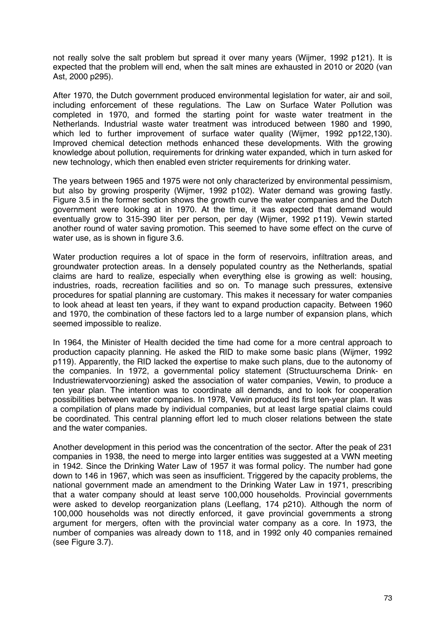not really solve the salt problem but spread it over many years (Wijmer, 1992 p121). It is expected that the problem will end, when the salt mines are exhausted in 2010 or 2020 (van Ast, 2000 p295).

After 1970, the Dutch government produced environmental legislation for water, air and soil, including enforcement of these regulations. The Law on Surface Water Pollution was completed in 1970, and formed the starting point for waste water treatment in the Netherlands. Industrial waste water treatment was introduced between 1980 and 1990, which led to further improvement of surface water quality (Wijmer, 1992 pp122,130). Improved chemical detection methods enhanced these developments. With the growing knowledge about pollution, requirements for drinking water expanded, which in turn asked for new technology, which then enabled even stricter requirements for drinking water.

The years between 1965 and 1975 were not only characterized by environmental pessimism, but also by growing prosperity (Wijmer, 1992 p102). Water demand was growing fastly. Figure 3.5 in the former section shows the growth curve the water companies and the Dutch government were looking at in 1970. At the time, it was expected that demand would eventually grow to 315-390 liter per person, per day (Wijmer, 1992 p119). Vewin started another round of water saving promotion. This seemed to have some effect on the curve of water use, as is shown in figure 3.6.

Water production requires a lot of space in the form of reservoirs, infiltration areas, and groundwater protection areas. In a densely populated country as the Netherlands, spatial claims are hard to realize, especially when everything else is growing as well: housing, industries, roads, recreation facilities and so on. To manage such pressures, extensive procedures for spatial planning are customary. This makes it necessary for water companies to look ahead at least ten years, if they want to expand production capacity. Between 1960 and 1970, the combination of these factors led to a large number of expansion plans, which seemed impossible to realize.

In 1964, the Minister of Health decided the time had come for a more central approach to production capacity planning. He asked the RID to make some basic plans (Wijmer, 1992 p119). Apparently, the RID lacked the expertise to make such plans, due to the autonomy of the companies. In 1972, a governmental policy statement (Structuurschema Drink- en Industriewatervoorziening) asked the association of water companies, Vewin, to produce a ten year plan. The intention was to coordinate all demands, and to look for cooperation possibilities between water companies. In 1978, Vewin produced its first ten-year plan. It was a compilation of plans made by individual companies, but at least large spatial claims could be coordinated. This central planning effort led to much closer relations between the state and the water companies.

Another development in this period was the concentration of the sector. After the peak of 231 companies in 1938, the need to merge into larger entities was suggested at a VWN meeting in 1942. Since the Drinking Water Law of 1957 it was formal policy. The number had gone down to 146 in 1967, which was seen as insufficient. Triggered by the capacity problems, the national government made an amendment to the Drinking Water Law in 1971, prescribing that a water company should at least serve 100,000 households. Provincial governments were asked to develop reorganization plans (Leeflang, 174 p210). Although the norm of 100,000 households was not directly enforced, it gave provincial governments a strong argument for mergers, often with the provincial water company as a core. In 1973, the number of companies was already down to 118, and in 1992 only 40 companies remained (see Figure 3.7).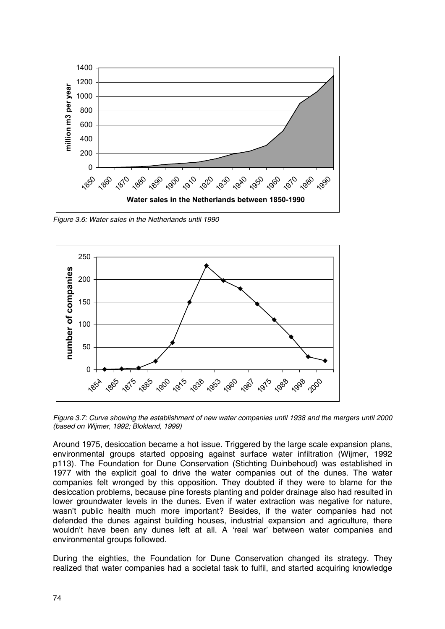

*Figure 3.6: Water sales in the Netherlands until 1990*



*Figure 3.7: Curve showing the establishment of new water companies until 1938 and the mergers until 2000 (based on Wijmer, 1992; Blokland, 1999)*

Around 1975, desiccation became a hot issue. Triggered by the large scale expansion plans, environmental groups started opposing against surface water infiltration (Wijmer, 1992 p113). The Foundation for Dune Conservation (Stichting Duinbehoud) was established in 1977 with the explicit goal to drive the water companies out of the dunes. The water companies felt wronged by this opposition. They doubted if they were to blame for the desiccation problems, because pine forests planting and polder drainage also had resulted in lower groundwater levels in the dunes. Even if water extraction was negative for nature, wasn't public health much more important? Besides, if the water companies had not defended the dunes against building houses, industrial expansion and agriculture, there wouldn't have been any dunes left at all. A 'real war' between water companies and environmental groups followed.

During the eighties, the Foundation for Dune Conservation changed its strategy. They realized that water companies had a societal task to fulfil, and started acquiring knowledge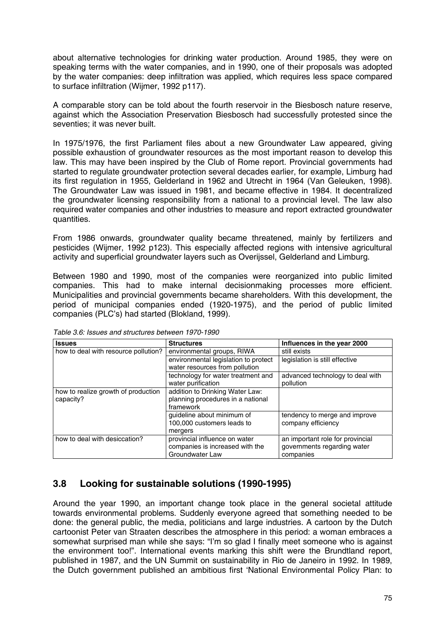about alternative technologies for drinking water production. Around 1985, they were on speaking terms with the water companies, and in 1990, one of their proposals was adopted by the water companies: deep infiltration was applied, which requires less space compared to surface infiltration (Wijmer, 1992 p117).

A comparable story can be told about the fourth reservoir in the Biesbosch nature reserve, against which the Association Preservation Biesbosch had successfully protested since the seventies; it was never built.

In 1975/1976, the first Parliament files about a new Groundwater Law appeared, giving possible exhaustion of groundwater resources as the most important reason to develop this law. This may have been inspired by the Club of Rome report. Provincial governments had started to regulate groundwater protection several decades earlier, for example, Limburg had its first regulation in 1955, Gelderland in 1962 and Utrecht in 1964 (Van Geleuken, 1998). The Groundwater Law was issued in 1981, and became effective in 1984. It decentralized the groundwater licensing responsibility from a national to a provincial level. The law also required water companies and other industries to measure and report extracted groundwater quantities.

From 1986 onwards, groundwater quality became threatened, mainly by fertilizers and pesticides (Wijmer, 1992 p123). This especially affected regions with intensive agricultural activity and superficial groundwater layers such as Overijssel, Gelderland and Limburg.

Between 1980 and 1990, most of the companies were reorganized into public limited companies. This had to make internal decisionmaking processes more efficient. Municipalities and provincial governments became shareholders. With this development, the period of municipal companies ended (1920-1975), and the period of public limited companies (PLC's) had started (Blokland, 1999).

| <b>Issues</b>                                    | <b>Structures</b>                                                                   | Influences in the year 2000                                                  |  |
|--------------------------------------------------|-------------------------------------------------------------------------------------|------------------------------------------------------------------------------|--|
| how to deal with resource pollution?             | environmental groups, RIWA                                                          | still exists                                                                 |  |
|                                                  | environmental legislation to protect<br>water resources from pollution              | legislation is still effective                                               |  |
|                                                  | technology for water treatment and<br>water purification                            | advanced technology to deal with<br>pollution                                |  |
| how to realize growth of production<br>capacity? | addition to Drinking Water Law:<br>planning procedures in a national<br>framework   |                                                                              |  |
|                                                  | guideline about minimum of<br>100,000 customers leads to<br>mergers                 | tendency to merge and improve<br>company efficiency                          |  |
| how to deal with desiccation?                    | provincial influence on water<br>companies is increased with the<br>Groundwater Law | an important role for provincial<br>governments regarding water<br>companies |  |

*Table 3.6: Issues and structures between 1970-1990*

### **3.8 Looking for sustainable solutions (1990-1995)**

Around the year 1990, an important change took place in the general societal attitude towards environmental problems. Suddenly everyone agreed that something needed to be done: the general public, the media, politicians and large industries. A cartoon by the Dutch cartoonist Peter van Straaten describes the atmosphere in this period: a woman embraces a somewhat surprised man while she says: "I'm so glad I finally meet someone who is against the environment too!". International events marking this shift were the Brundtland report, published in 1987, and the UN Summit on sustainability in Rio de Janeiro in 1992. In 1989, the Dutch government published an ambitious first 'National Environmental Policy Plan: to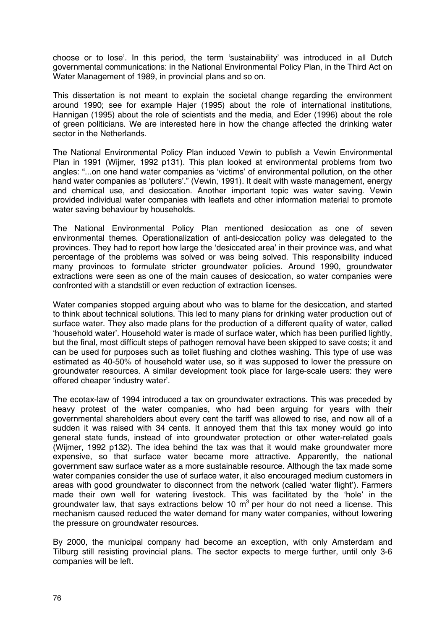choose or to lose'. In this period, the term 'sustainability' was introduced in all Dutch governmental communications: in the National Environmental Policy Plan, in the Third Act on Water Management of 1989, in provincial plans and so on.

This dissertation is not meant to explain the societal change regarding the environment around 1990; see for example Hajer (1995) about the role of international institutions, Hannigan (1995) about the role of scientists and the media, and Eder (1996) about the role of green politicians. We are interested here in how the change affected the drinking water sector in the Netherlands.

The National Environmental Policy Plan induced Vewin to publish a Vewin Environmental Plan in 1991 (Wijmer, 1992 p131). This plan looked at environmental problems from two angles: "...on one hand water companies as 'victims' of environmental pollution, on the other hand water companies as 'polluters'." (Vewin, 1991). It dealt with waste management, energy and chemical use, and desiccation. Another important topic was water saving. Vewin provided individual water companies with leaflets and other information material to promote water saving behaviour by households.

The National Environmental Policy Plan mentioned desiccation as one of seven environmental themes. Operationalization of anti-desiccation policy was delegated to the provinces. They had to report how large the 'desiccated area' in their province was, and what percentage of the problems was solved or was being solved. This responsibility induced many provinces to formulate stricter groundwater policies. Around 1990, groundwater extractions were seen as one of the main causes of desiccation, so water companies were confronted with a standstill or even reduction of extraction licenses.

Water companies stopped arguing about who was to blame for the desiccation, and started to think about technical solutions. This led to many plans for drinking water production out of surface water. They also made plans for the production of a different quality of water, called 'household water'. Household water is made of surface water, which has been purified lightly, but the final, most difficult steps of pathogen removal have been skipped to save costs; it and can be used for purposes such as toilet flushing and clothes washing. This type of use was estimated as 40-50% of household water use, so it was supposed to lower the pressure on groundwater resources. A similar development took place for large-scale users: they were offered cheaper 'industry water'.

The ecotax-law of 1994 introduced a tax on groundwater extractions. This was preceded by heavy protest of the water companies, who had been arguing for years with their governmental shareholders about every cent the tariff was allowed to rise, and now all of a sudden it was raised with 34 cents. It annoyed them that this tax money would go into general state funds, instead of into groundwater protection or other water-related goals (Wijmer, 1992 p132). The idea behind the tax was that it would make groundwater more expensive, so that surface water became more attractive. Apparently, the national government saw surface water as a more sustainable resource. Although the tax made some water companies consider the use of surface water, it also encouraged medium customers in areas with good groundwater to disconnect from the network (called 'water flight'). Farmers made their own well for watering livestock. This was facilitated by the 'hole' in the groundwater law, that says extractions below 10  $m<sup>3</sup>$  per hour do not need a license. This mechanism caused reduced the water demand for many water companies, without lowering the pressure on groundwater resources.

By 2000, the municipal company had become an exception, with only Amsterdam and Tilburg still resisting provincial plans. The sector expects to merge further, until only 3-6 companies will be left.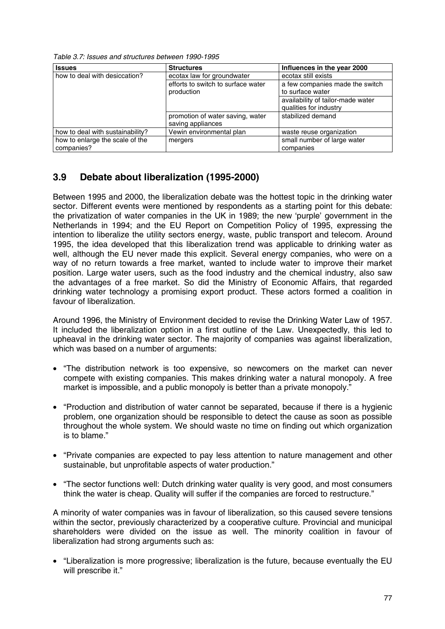*Table 3.7: Issues and structures between 1990-1995*

| <b>Issues</b>                    | <b>Structures</b>                  | Influences in the year 2000       |
|----------------------------------|------------------------------------|-----------------------------------|
| how to deal with desiccation?    | ecotax law for groundwater         | ecotax still exists               |
|                                  | efforts to switch to surface water | a few companies made the switch   |
|                                  | production                         | to surface water                  |
|                                  |                                    | availability of tailor-made water |
|                                  |                                    | qualities for industry            |
|                                  | promotion of water saving, water   | stabilized demand                 |
|                                  | saving appliances                  |                                   |
| how to deal with sustainability? | Vewin environmental plan           | waste reuse organization          |
| how to enlarge the scale of the  | mergers                            | small number of large water       |
| companies?                       |                                    | companies                         |

## **3.9 Debate about liberalization (1995-2000)**

Between 1995 and 2000, the liberalization debate was the hottest topic in the drinking water sector. Different events were mentioned by respondents as a starting point for this debate: the privatization of water companies in the UK in 1989; the new 'purple' government in the Netherlands in 1994; and the EU Report on Competition Policy of 1995, expressing the intention to liberalize the utility sectors energy, waste, public transport and telecom. Around 1995, the idea developed that this liberalization trend was applicable to drinking water as well, although the EU never made this explicit. Several energy companies, who were on a way of no return towards a free market, wanted to include water to improve their market position. Large water users, such as the food industry and the chemical industry, also saw the advantages of a free market. So did the Ministry of Economic Affairs, that regarded drinking water technology a promising export product. These actors formed a coalition in favour of liberalization.

Around 1996, the Ministry of Environment decided to revise the Drinking Water Law of 1957. It included the liberalization option in a first outline of the Law. Unexpectedly, this led to upheaval in the drinking water sector. The majority of companies was against liberalization, which was based on a number of arguments:

- "The distribution network is too expensive, so newcomers on the market can never compete with existing companies. This makes drinking water a natural monopoly. A free market is impossible, and a public monopoly is better than a private monopoly."
- "Production and distribution of water cannot be separated, because if there is a hygienic problem, one organization should be responsible to detect the cause as soon as possible throughout the whole system. We should waste no time on finding out which organization is to blame."
- "Private companies are expected to pay less attention to nature management and other sustainable, but unprofitable aspects of water production."
- "The sector functions well: Dutch drinking water quality is very good, and most consumers think the water is cheap. Quality will suffer if the companies are forced to restructure."

A minority of water companies was in favour of liberalization, so this caused severe tensions within the sector, previously characterized by a cooperative culture. Provincial and municipal shareholders were divided on the issue as well. The minority coalition in favour of liberalization had strong arguments such as:

• "Liberalization is more progressive; liberalization is the future, because eventually the EU will prescribe it."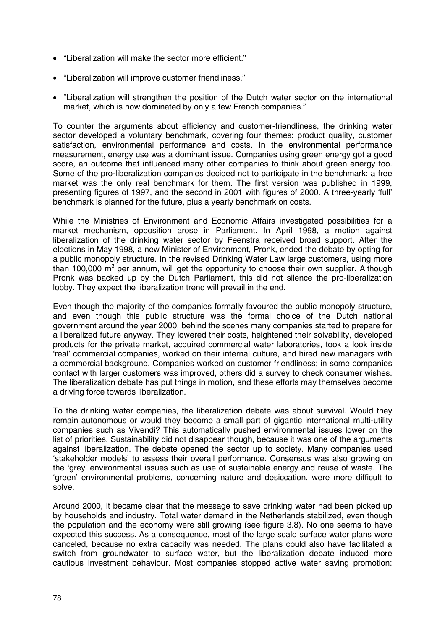- "Liberalization will make the sector more efficient."
- "Liberalization will improve customer friendliness."
- "Liberalization will strengthen the position of the Dutch water sector on the international market, which is now dominated by only a few French companies."

To counter the arguments about efficiency and customer-friendliness, the drinking water sector developed a voluntary benchmark, covering four themes: product quality, customer satisfaction, environmental performance and costs. In the environmental performance measurement, energy use was a dominant issue. Companies using green energy got a good score, an outcome that influenced many other companies to think about green energy too. Some of the pro-liberalization companies decided not to participate in the benchmark: a free market was the only real benchmark for them. The first version was published in 1999, presenting figures of 1997, and the second in 2001 with figures of 2000. A three-yearly 'full' benchmark is planned for the future, plus a yearly benchmark on costs.

While the Ministries of Environment and Economic Affairs investigated possibilities for a market mechanism, opposition arose in Parliament. In April 1998, a motion against liberalization of the drinking water sector by Feenstra received broad support. After the elections in May 1998, a new Minister of Environment, Pronk, ended the debate by opting for a public monopoly structure. In the revised Drinking Water Law large customers, using more than 100,000 m<sup>3</sup> per annum, will get the opportunity to choose their own supplier. Although Pronk was backed up by the Dutch Parliament, this did not silence the pro-liberalization lobby. They expect the liberalization trend will prevail in the end.

Even though the majority of the companies formally favoured the public monopoly structure, and even though this public structure was the formal choice of the Dutch national government around the year 2000, behind the scenes many companies started to prepare for a liberalized future anyway. They lowered their costs, heightened their solvability, developed products for the private market, acquired commercial water laboratories, took a look inside 'real' commercial companies, worked on their internal culture, and hired new managers with a commercial background. Companies worked on customer friendliness; in some companies contact with larger customers was improved, others did a survey to check consumer wishes. The liberalization debate has put things in motion, and these efforts may themselves become a driving force towards liberalization.

To the drinking water companies, the liberalization debate was about survival. Would they remain autonomous or would they become a small part of gigantic international multi-utility companies such as Vivendi? This automatically pushed environmental issues lower on the list of priorities. Sustainability did not disappear though, because it was one of the arguments against liberalization. The debate opened the sector up to society. Many companies used 'stakeholder models' to assess their overall performance. Consensus was also growing on the 'grey' environmental issues such as use of sustainable energy and reuse of waste. The 'green' environmental problems, concerning nature and desiccation, were more difficult to solve.

Around 2000, it became clear that the message to save drinking water had been picked up by households and industry. Total water demand in the Netherlands stabilized, even though the population and the economy were still growing (see figure 3.8). No one seems to have expected this success. As a consequence, most of the large scale surface water plans were canceled, because no extra capacity was needed. The plans could also have facilitated a switch from groundwater to surface water, but the liberalization debate induced more cautious investment behaviour. Most companies stopped active water saving promotion: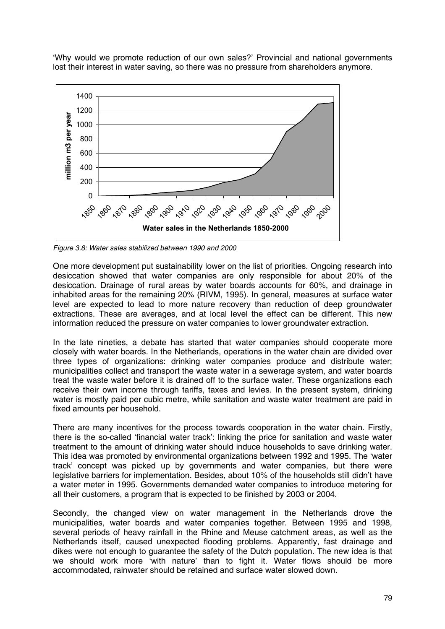'Why would we promote reduction of our own sales?' Provincial and national governments lost their interest in water saving, so there was no pressure from shareholders anymore.



*Figure 3.8: Water sales stabilized between 1990 and 2000*

One more development put sustainability lower on the list of priorities. Ongoing research into desiccation showed that water companies are only responsible for about 20% of the desiccation. Drainage of rural areas by water boards accounts for 60%, and drainage in inhabited areas for the remaining 20% (RIVM, 1995). In general, measures at surface water level are expected to lead to more nature recovery than reduction of deep groundwater extractions. These are averages, and at local level the effect can be different. This new information reduced the pressure on water companies to lower groundwater extraction.

In the late nineties, a debate has started that water companies should cooperate more closely with water boards. In the Netherlands, operations in the water chain are divided over three types of organizations: drinking water companies produce and distribute water; municipalities collect and transport the waste water in a sewerage system, and water boards treat the waste water before it is drained off to the surface water. These organizations each receive their own income through tariffs, taxes and levies. In the present system, drinking water is mostly paid per cubic metre, while sanitation and waste water treatment are paid in fixed amounts per household.

There are many incentives for the process towards cooperation in the water chain. Firstly, there is the so-called 'financial water track': linking the price for sanitation and waste water treatment to the amount of drinking water should induce households to save drinking water. This idea was promoted by environmental organizations between 1992 and 1995. The 'water track' concept was picked up by governments and water companies, but there were legislative barriers for implementation. Besides, about 10% of the households still didn't have a water meter in 1995. Governments demanded water companies to introduce metering for all their customers, a program that is expected to be finished by 2003 or 2004.

Secondly, the changed view on water management in the Netherlands drove the municipalities, water boards and water companies together. Between 1995 and 1998, several periods of heavy rainfall in the Rhine and Meuse catchment areas, as well as the Netherlands itself, caused unexpected flooding problems. Apparently, fast drainage and dikes were not enough to guarantee the safety of the Dutch population. The new idea is that we should work more 'with nature' than to fight it. Water flows should be more accommodated, rainwater should be retained and surface water slowed down.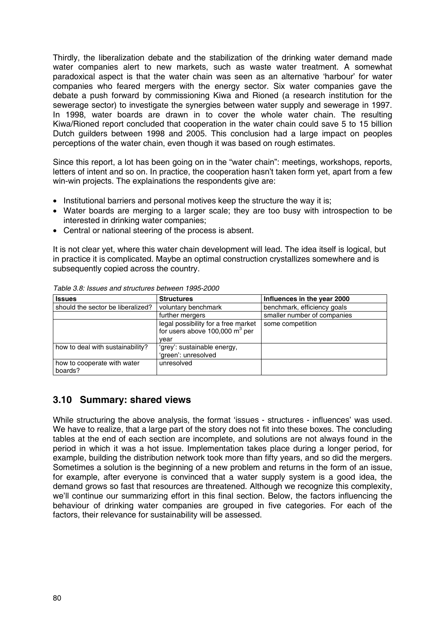Thirdly, the liberalization debate and the stabilization of the drinking water demand made water companies alert to new markets, such as waste water treatment. A somewhat paradoxical aspect is that the water chain was seen as an alternative 'harbour' for water companies who feared mergers with the energy sector. Six water companies gave the debate a push forward by commissioning Kiwa and Rioned (a research institution for the sewerage sector) to investigate the synergies between water supply and sewerage in 1997. In 1998, water boards are drawn in to cover the whole water chain. The resulting Kiwa/Rioned report concluded that cooperation in the water chain could save 5 to 15 billion Dutch guilders between 1998 and 2005. This conclusion had a large impact on peoples perceptions of the water chain, even though it was based on rough estimates.

Since this report, a lot has been going on in the "water chain": meetings, workshops, reports, letters of intent and so on. In practice, the cooperation hasn't taken form yet, apart from a few win-win projects. The explainations the respondents give are:

- Institutional barriers and personal motives keep the structure the way it is:
- Water boards are merging to a larger scale; they are too busy with introspection to be interested in drinking water companies;
- Central or national steering of the process is absent.

It is not clear yet, where this water chain development will lead. The idea itself is logical, but in practice it is complicated. Maybe an optimal construction crystallizes somewhere and is subsequently copied across the country.

| <b>Issues</b>                          | <b>Structures</b>                                                        | Influences in the year 2000 |
|----------------------------------------|--------------------------------------------------------------------------|-----------------------------|
| should the sector be liberalized?      | voluntary benchmark                                                      | benchmark, efficiency goals |
|                                        | further mergers                                                          | smaller number of companies |
|                                        | legal possibility for a free market<br>for users above 100,000 $m^3$ per | some competition            |
|                                        | vear                                                                     |                             |
| how to deal with sustainability?       | 'grey': sustainable energy,<br>'green': unresolved                       |                             |
| how to cooperate with water<br>boards? | unresolved                                                               |                             |

*Table 3.8: Issues and structures between 1995-2000*

### **3.10 Summary: shared views**

While structuring the above analysis, the format 'issues - structures - influences' was used. We have to realize, that a large part of the story does not fit into these boxes. The concluding tables at the end of each section are incomplete, and solutions are not always found in the period in which it was a hot issue. Implementation takes place during a longer period, for example, building the distribution network took more than fifty years, and so did the mergers. Sometimes a solution is the beginning of a new problem and returns in the form of an issue, for example, after everyone is convinced that a water supply system is a good idea, the demand grows so fast that resources are threatened. Although we recognize this complexity, we'll continue our summarizing effort in this final section. Below, the factors influencing the behaviour of drinking water companies are grouped in five categories. For each of the factors, their relevance for sustainability will be assessed.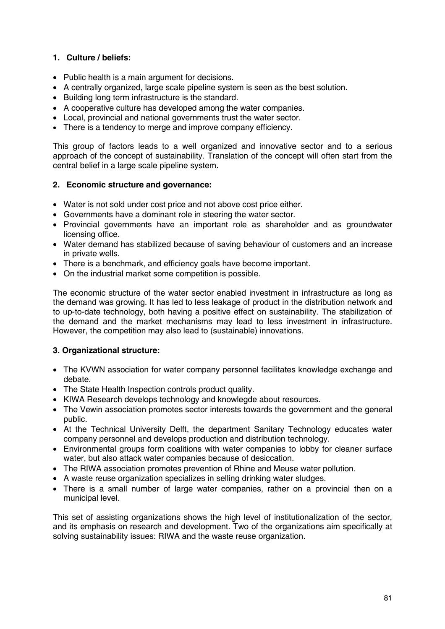#### **1. Culture / beliefs:**

- Public health is a main argument for decisions.
- A centrally organized, large scale pipeline system is seen as the best solution.
- Building long term infrastructure is the standard.
- A cooperative culture has developed among the water companies.
- Local, provincial and national governments trust the water sector.
- There is a tendency to merge and improve company efficiency.

This group of factors leads to a well organized and innovative sector and to a serious approach of the concept of sustainability. Translation of the concept will often start from the central belief in a large scale pipeline system.

#### **2. Economic structure and governance:**

- Water is not sold under cost price and not above cost price either.
- Governments have a dominant role in steering the water sector.
- Provincial governments have an important role as shareholder and as groundwater licensing office.
- Water demand has stabilized because of saving behaviour of customers and an increase in private wells.
- There is a benchmark, and efficiency goals have become important.
- On the industrial market some competition is possible.

The economic structure of the water sector enabled investment in infrastructure as long as the demand was growing. It has led to less leakage of product in the distribution network and to up-to-date technology, both having a positive effect on sustainability. The stabilization of the demand and the market mechanisms may lead to less investment in infrastructure. However, the competition may also lead to (sustainable) innovations.

#### **3. Organizational structure:**

- The KVWN association for water company personnel facilitates knowledge exchange and debate.
- The State Health Inspection controls product quality.
- KIWA Research develops technology and knowlegde about resources.
- The Vewin association promotes sector interests towards the government and the general public.
- At the Technical University Delft, the department Sanitary Technology educates water company personnel and develops production and distribution technology.
- Environmental groups form coalitions with water companies to lobby for cleaner surface water, but also attack water companies because of desiccation.
- The RIWA association promotes prevention of Rhine and Meuse water pollution.
- A waste reuse organization specializes in selling drinking water sludges.
- There is a small number of large water companies, rather on a provincial then on a municipal level.

This set of assisting organizations shows the high level of institutionalization of the sector, and its emphasis on research and development. Two of the organizations aim specifically at solving sustainability issues: RIWA and the waste reuse organization.